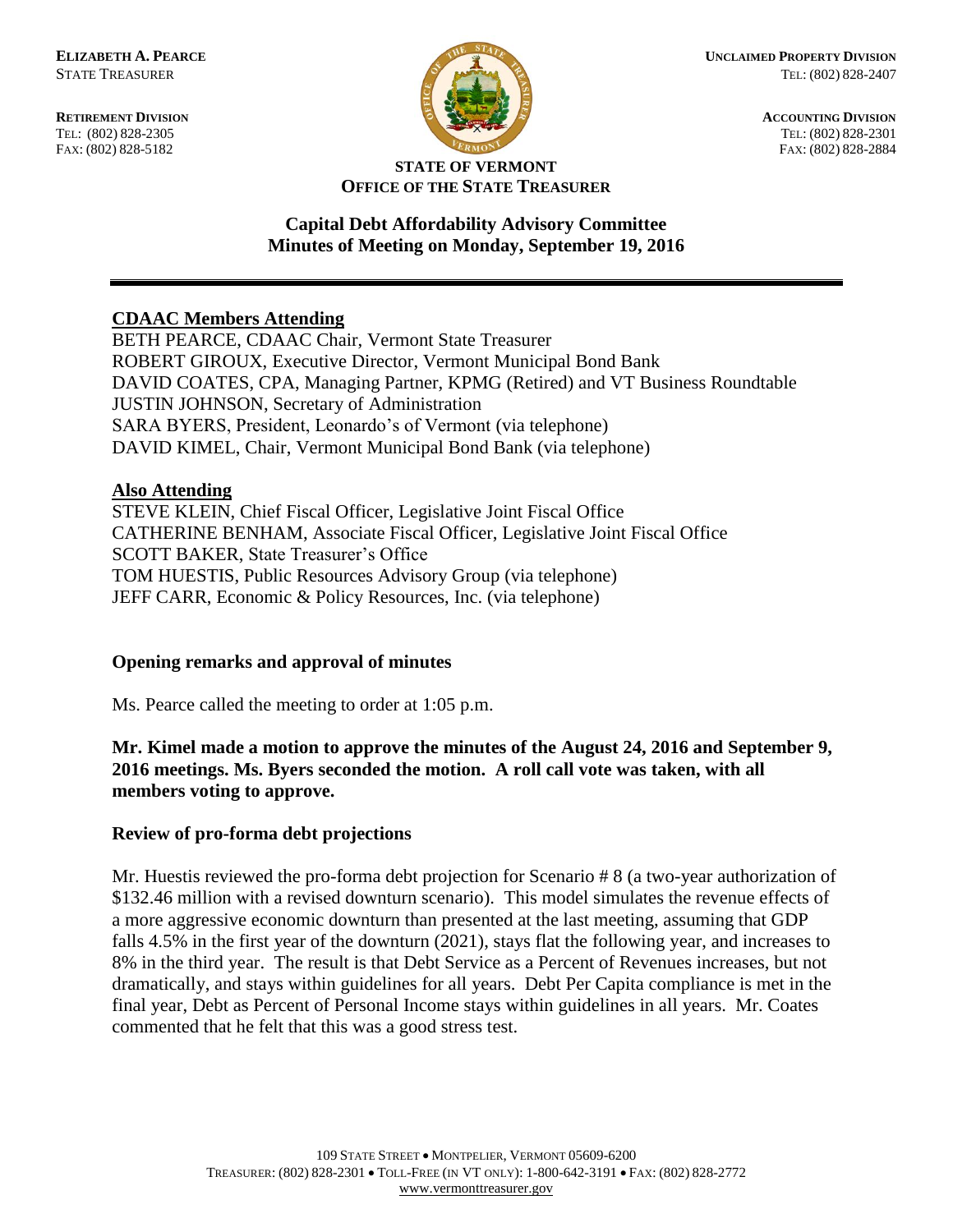FAX: (802) 828-5182



**RETIREMENT DIVISION ACCOUNTING DIVISION** TEL: (802) 828-2305<br>
FAX: (802) 828-2305<br>
FAX: (802) 828-2384<br>
TEL: (802) 828-2301<br>
FAX: (802) 828-2884

#### **STATE OF VERMONT OFFICE OF THE STATE TREASURER**

#### **Capital Debt Affordability Advisory Committee Minutes of Meeting on Monday, September 19, 2016**

## **CDAAC Members Attending**

BETH PEARCE, CDAAC Chair, Vermont State Treasurer ROBERT GIROUX, Executive Director, Vermont Municipal Bond Bank DAVID COATES, CPA, Managing Partner, KPMG (Retired) and VT Business Roundtable JUSTIN JOHNSON, Secretary of Administration SARA BYERS, President, Leonardo's of Vermont (via telephone) DAVID KIMEL, Chair, Vermont Municipal Bond Bank (via telephone)

# **Also Attending**

STEVE KLEIN, Chief Fiscal Officer, Legislative Joint Fiscal Office CATHERINE BENHAM, Associate Fiscal Officer, Legislative Joint Fiscal Office SCOTT BAKER, State Treasurer's Office TOM HUESTIS, Public Resources Advisory Group (via telephone) JEFF CARR, Economic & Policy Resources, Inc. (via telephone)

## **Opening remarks and approval of minutes**

Ms. Pearce called the meeting to order at 1:05 p.m.

## **Mr. Kimel made a motion to approve the minutes of the August 24, 2016 and September 9, 2016 meetings. Ms. Byers seconded the motion. A roll call vote was taken, with all members voting to approve.**

## **Review of pro-forma debt projections**

Mr. Huestis reviewed the pro-forma debt projection for Scenario # 8 (a two-year authorization of \$132.46 million with a revised downturn scenario). This model simulates the revenue effects of a more aggressive economic downturn than presented at the last meeting, assuming that GDP falls 4.5% in the first year of the downturn (2021), stays flat the following year, and increases to 8% in the third year. The result is that Debt Service as a Percent of Revenues increases, but not dramatically, and stays within guidelines for all years. Debt Per Capita compliance is met in the final year, Debt as Percent of Personal Income stays within guidelines in all years. Mr. Coates commented that he felt that this was a good stress test.